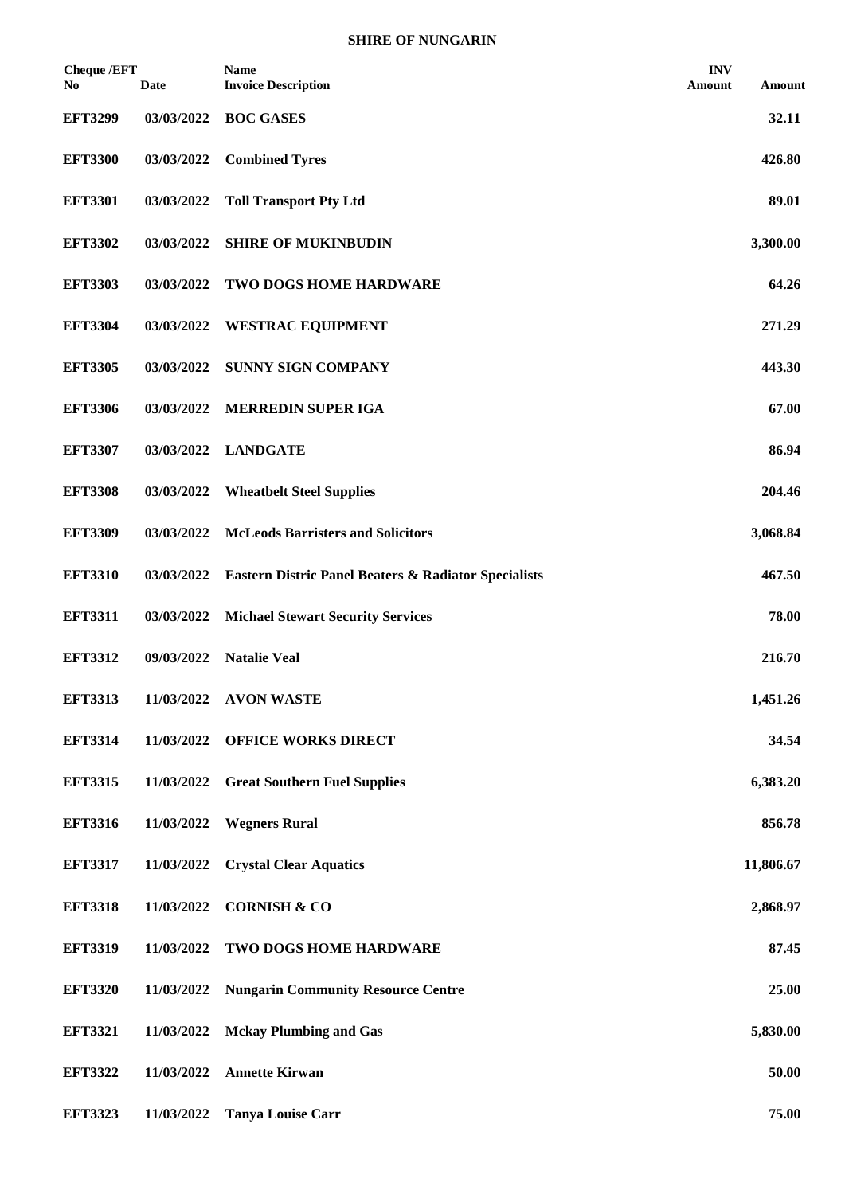| <b>Cheque /EFT</b><br>No. | <b>Date</b> | <b>Name</b><br><b>Invoice Description</b>                       | <b>INV</b><br>Amount | Amount    |
|---------------------------|-------------|-----------------------------------------------------------------|----------------------|-----------|
| <b>EFT3299</b>            | 03/03/2022  | <b>BOC GASES</b>                                                |                      | 32.11     |
| <b>EFT3300</b>            | 03/03/2022  | <b>Combined Tyres</b>                                           |                      | 426.80    |
| <b>EFT3301</b>            | 03/03/2022  | <b>Toll Transport Pty Ltd</b>                                   |                      | 89.01     |
| <b>EFT3302</b>            | 03/03/2022  | <b>SHIRE OF MUKINBUDIN</b>                                      |                      | 3,300.00  |
| <b>EFT3303</b>            | 03/03/2022  | TWO DOGS HOME HARDWARE                                          |                      | 64.26     |
| <b>EFT3304</b>            | 03/03/2022  | <b>WESTRAC EQUIPMENT</b>                                        |                      | 271.29    |
| <b>EFT3305</b>            | 03/03/2022  | <b>SUNNY SIGN COMPANY</b>                                       |                      | 443.30    |
| <b>EFT3306</b>            | 03/03/2022  | <b>MERREDIN SUPER IGA</b>                                       |                      | 67.00     |
| <b>EFT3307</b>            | 03/03/2022  | <b>LANDGATE</b>                                                 |                      | 86.94     |
| <b>EFT3308</b>            | 03/03/2022  | <b>Wheatbelt Steel Supplies</b>                                 |                      | 204.46    |
| <b>EFT3309</b>            | 03/03/2022  | <b>McLeods Barristers and Solicitors</b>                        |                      | 3,068.84  |
| <b>EFT3310</b>            | 03/03/2022  | <b>Eastern Distric Panel Beaters &amp; Radiator Specialists</b> |                      | 467.50    |
| <b>EFT3311</b>            | 03/03/2022  | <b>Michael Stewart Security Services</b>                        |                      | 78.00     |
| <b>EFT3312</b>            | 09/03/2022  | <b>Natalie Veal</b>                                             |                      | 216.70    |
| <b>EFT3313</b>            | 11/03/2022  | <b>AVON WASTE</b>                                               |                      | 1,451.26  |
| <b>EFT3314</b>            | 11/03/2022  | <b>OFFICE WORKS DIRECT</b>                                      |                      | 34.54     |
| <b>EFT3315</b>            | 11/03/2022  | <b>Great Southern Fuel Supplies</b>                             |                      | 6,383.20  |
| <b>EFT3316</b>            | 11/03/2022  | <b>Wegners Rural</b>                                            |                      | 856.78    |
| <b>EFT3317</b>            | 11/03/2022  | <b>Crystal Clear Aquatics</b>                                   |                      | 11,806.67 |
| <b>EFT3318</b>            | 11/03/2022  | <b>CORNISH &amp; CO</b>                                         |                      | 2,868.97  |
| <b>EFT3319</b>            | 11/03/2022  | TWO DOGS HOME HARDWARE                                          |                      | 87.45     |
| <b>EFT3320</b>            | 11/03/2022  | <b>Nungarin Community Resource Centre</b>                       |                      | 25.00     |
| <b>EFT3321</b>            | 11/03/2022  | <b>Mckay Plumbing and Gas</b>                                   |                      | 5,830.00  |
| <b>EFT3322</b>            | 11/03/2022  | <b>Annette Kirwan</b>                                           |                      | 50.00     |
| <b>EFT3323</b>            | 11/03/2022  | <b>Tanya Louise Carr</b>                                        |                      | 75.00     |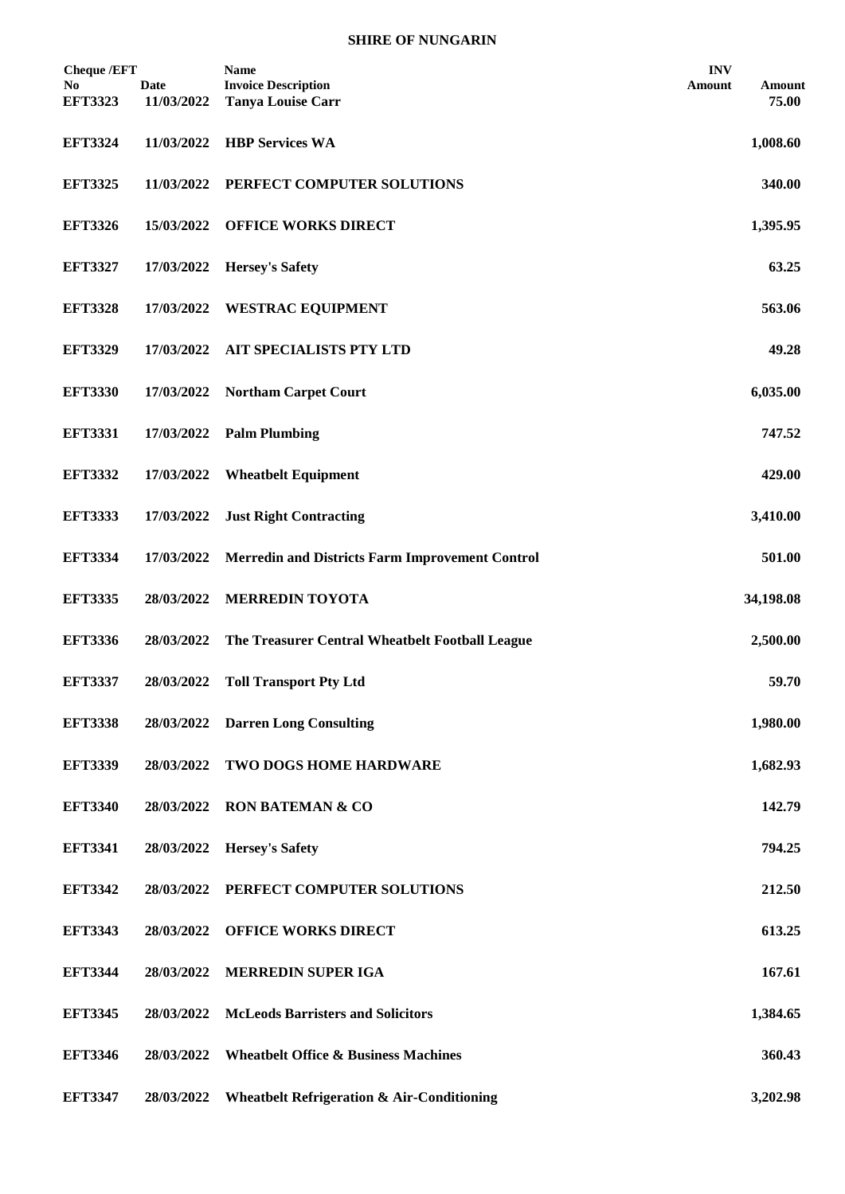| <b>Cheque /EFT</b><br>No.<br><b>EFT3323</b> | <b>Date</b><br>11/03/2022 | <b>Name</b><br><b>Invoice Description</b><br><b>Tanya Louise Carr</b> | <b>INV</b><br>Amount | Amount<br>75.00 |
|---------------------------------------------|---------------------------|-----------------------------------------------------------------------|----------------------|-----------------|
| <b>EFT3324</b>                              | 11/03/2022                | <b>HBP Services WA</b>                                                |                      | 1,008.60        |
| <b>EFT3325</b>                              | 11/03/2022                | PERFECT COMPUTER SOLUTIONS                                            |                      | 340.00          |
| <b>EFT3326</b>                              | 15/03/2022                | <b>OFFICE WORKS DIRECT</b>                                            |                      | 1,395.95        |
| <b>EFT3327</b>                              | 17/03/2022                | <b>Hersey's Safety</b>                                                |                      | 63.25           |
| <b>EFT3328</b>                              | 17/03/2022                | <b>WESTRAC EQUIPMENT</b>                                              |                      | 563.06          |
| <b>EFT3329</b>                              | 17/03/2022                | AIT SPECIALISTS PTY LTD                                               |                      | 49.28           |
| <b>EFT3330</b>                              | 17/03/2022                | <b>Northam Carpet Court</b>                                           |                      | 6,035.00        |
| <b>EFT3331</b>                              | 17/03/2022                | <b>Palm Plumbing</b>                                                  |                      | 747.52          |
| <b>EFT3332</b>                              | 17/03/2022                | <b>Wheatbelt Equipment</b>                                            |                      | 429.00          |
| <b>EFT3333</b>                              | 17/03/2022                | <b>Just Right Contracting</b>                                         |                      | 3,410.00        |
| <b>EFT3334</b>                              | 17/03/2022                | <b>Merredin and Districts Farm Improvement Control</b>                |                      | 501.00          |
| <b>EFT3335</b>                              | 28/03/2022                | <b>MERREDIN TOYOTA</b>                                                |                      | 34,198.08       |
| <b>EFT3336</b>                              | 28/03/2022                | The Treasurer Central Wheatbelt Football League                       |                      | 2,500.00        |
| <b>EFT3337</b>                              | 28/03/2022                | <b>Toll Transport Pty Ltd</b>                                         |                      | 59.70           |
| <b>EFT3338</b>                              | 28/03/2022                | <b>Darren Long Consulting</b>                                         |                      | 1,980.00        |
| <b>EFT3339</b>                              | 28/03/2022                | TWO DOGS HOME HARDWARE                                                |                      | 1,682.93        |
| <b>EFT3340</b>                              | 28/03/2022                | <b>RON BATEMAN &amp; CO</b>                                           |                      | 142.79          |
| <b>EFT3341</b>                              | 28/03/2022                | <b>Hersey's Safety</b>                                                |                      | 794.25          |
| <b>EFT3342</b>                              | 28/03/2022                | PERFECT COMPUTER SOLUTIONS                                            |                      | 212.50          |
| <b>EFT3343</b>                              | 28/03/2022                | <b>OFFICE WORKS DIRECT</b>                                            |                      | 613.25          |
| <b>EFT3344</b>                              | 28/03/2022                | <b>MERREDIN SUPER IGA</b>                                             |                      | 167.61          |
| <b>EFT3345</b>                              | 28/03/2022                | <b>McLeods Barristers and Solicitors</b>                              |                      | 1,384.65        |
| <b>EFT3346</b>                              | 28/03/2022                | <b>Wheatbelt Office &amp; Business Machines</b>                       |                      | 360.43          |
| <b>EFT3347</b>                              | 28/03/2022                | <b>Wheatbelt Refrigeration &amp; Air-Conditioning</b>                 |                      | 3,202.98        |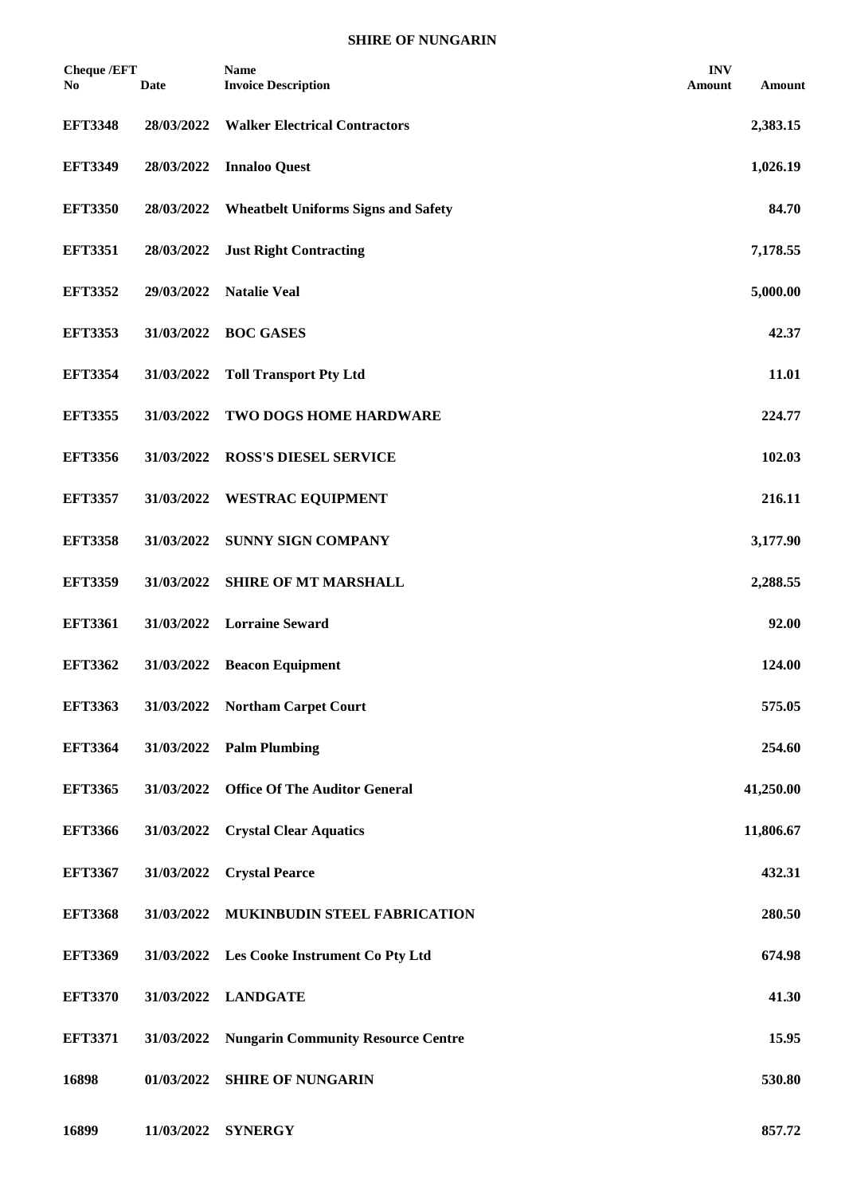| <b>Cheque /EFT</b><br>No. | Date       | <b>Name</b><br><b>Invoice Description</b>  | <b>INV</b><br>Amount | Amount    |
|---------------------------|------------|--------------------------------------------|----------------------|-----------|
| <b>EFT3348</b>            | 28/03/2022 | <b>Walker Electrical Contractors</b>       |                      | 2,383.15  |
| <b>EFT3349</b>            | 28/03/2022 | <b>Innaloo Quest</b>                       |                      | 1,026.19  |
| <b>EFT3350</b>            | 28/03/2022 | <b>Wheatbelt Uniforms Signs and Safety</b> |                      | 84.70     |
| <b>EFT3351</b>            | 28/03/2022 | <b>Just Right Contracting</b>              |                      | 7,178.55  |
| <b>EFT3352</b>            | 29/03/2022 | <b>Natalie Veal</b>                        |                      | 5,000.00  |
| <b>EFT3353</b>            | 31/03/2022 | <b>BOC GASES</b>                           |                      | 42.37     |
| <b>EFT3354</b>            | 31/03/2022 | <b>Toll Transport Pty Ltd</b>              |                      | 11.01     |
| <b>EFT3355</b>            | 31/03/2022 | TWO DOGS HOME HARDWARE                     |                      | 224.77    |
| <b>EFT3356</b>            | 31/03/2022 | <b>ROSS'S DIESEL SERVICE</b>               |                      | 102.03    |
| <b>EFT3357</b>            | 31/03/2022 | <b>WESTRAC EQUIPMENT</b>                   |                      | 216.11    |
| <b>EFT3358</b>            | 31/03/2022 | <b>SUNNY SIGN COMPANY</b>                  |                      | 3,177.90  |
| <b>EFT3359</b>            | 31/03/2022 | <b>SHIRE OF MT MARSHALL</b>                |                      | 2,288.55  |
| <b>EFT3361</b>            | 31/03/2022 | <b>Lorraine Seward</b>                     |                      | 92.00     |
| <b>EFT3362</b>            | 31/03/2022 | <b>Beacon Equipment</b>                    |                      | 124.00    |
| <b>EFT3363</b>            |            | 31/03/2022 Northam Carpet Court            |                      | 575.05    |
| <b>EFT3364</b>            | 31/03/2022 | <b>Palm Plumbing</b>                       |                      | 254.60    |
| <b>EFT3365</b>            | 31/03/2022 | <b>Office Of The Auditor General</b>       |                      | 41,250.00 |
| <b>EFT3366</b>            | 31/03/2022 | <b>Crystal Clear Aquatics</b>              |                      | 11,806.67 |
| <b>EFT3367</b>            | 31/03/2022 | <b>Crystal Pearce</b>                      |                      | 432.31    |
| <b>EFT3368</b>            | 31/03/2022 | MUKINBUDIN STEEL FABRICATION               |                      | 280.50    |
| <b>EFT3369</b>            |            | 31/03/2022 Les Cooke Instrument Co Pty Ltd |                      | 674.98    |
| <b>EFT3370</b>            | 31/03/2022 | <b>LANDGATE</b>                            |                      | 41.30     |
| <b>EFT3371</b>            | 31/03/2022 | <b>Nungarin Community Resource Centre</b>  |                      | 15.95     |
| 16898                     | 01/03/2022 | <b>SHIRE OF NUNGARIN</b>                   |                      | 530.80    |
|                           |            |                                            |                      |           |